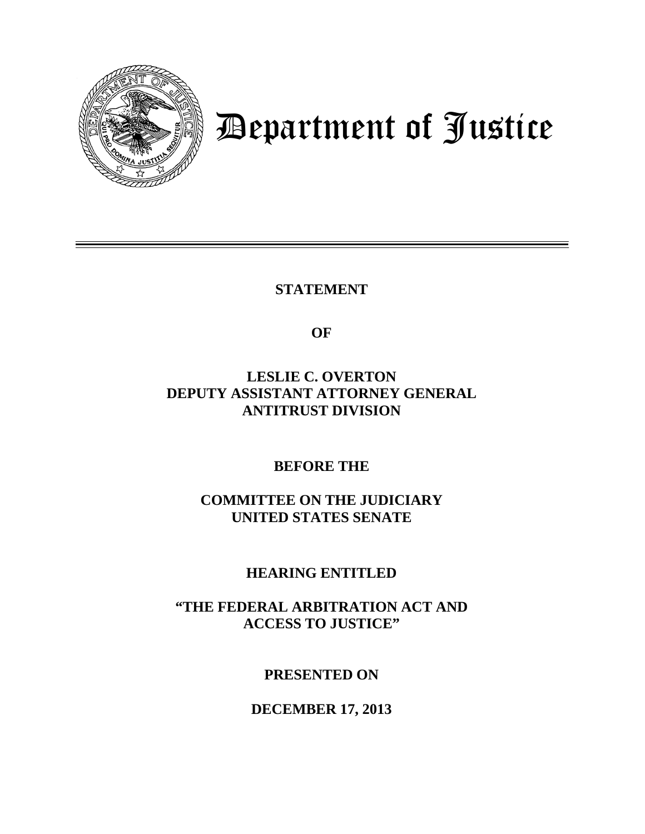

## Department of Justice

**STATEMENT**

**OF**

**LESLIE C. OVERTON DEPUTY ASSISTANT ATTORNEY GENERAL ANTITRUST DIVISION**

**BEFORE THE**

**COMMITTEE ON THE JUDICIARY UNITED STATES SENATE**

**HEARING ENTITLED**

**"THE FEDERAL ARBITRATION ACT AND ACCESS TO JUSTICE"**

**PRESENTED ON**

**DECEMBER 17, 2013**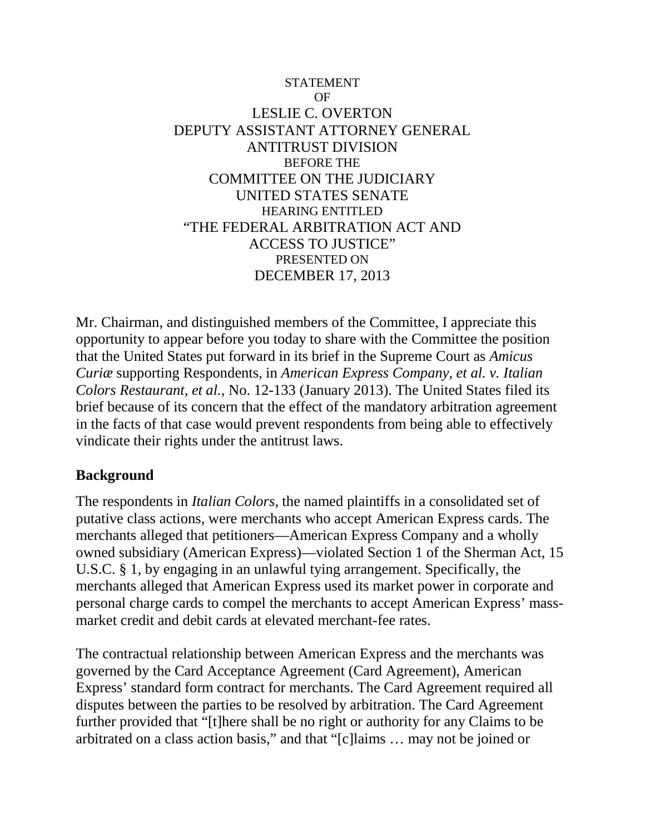## **STATEMENT** OF LESLIE C. OVERTON DEPUTY ASSISTANT ATTORNEY GENERAL ANTITRUST DIVISION BEFORE THE COMMITTEE ON THE JUDICIARY UNITED STATES SENATE HEARING ENTITLED "THE FEDERAL ARBITRATION ACT AND ACCESS TO JUSTICE" PRESENTED ON DECEMBER 17, 2013

Mr. Chairman, and distinguished members of the Committee, I appreciate this opportunity to appear before you today to share with the Committee the position that the United States put forward in its brief in the Supreme Court as *Amicus Curiæ* supporting Respondents, in *American Express Company, et al. v. Italian Colors Restaurant, et al.*, No. 12-133 (January 2013). The United States filed its brief because of its concern that the effect of the mandatory arbitration agreement in the facts of that case would prevent respondents from being able to effectively vindicate their rights under the antitrust laws.

## **Background**

The respondents in *Italian Colors*, the named plaintiffs in a consolidated set of putative class actions, were merchants who accept American Express cards. The merchants alleged that petitioners—American Express Company and a wholly owned subsidiary (American Express)—violated Section 1 of the Sherman Act, 15 U.S.C. § 1, by engaging in an unlawful tying arrangement. Specifically, the merchants alleged that American Express used its market power in corporate and personal charge cards to compel the merchants to accept American Express' massmarket credit and debit cards at elevated merchant-fee rates.

The contractual relationship between American Express and the merchants was governed by the Card Acceptance Agreement (Card Agreement), American Express' standard form contract for merchants. The Card Agreement required all disputes between the parties to be resolved by arbitration. The Card Agreement further provided that "[t]here shall be no right or authority for any Claims to be arbitrated on a class action basis," and that "[c]laims … may not be joined or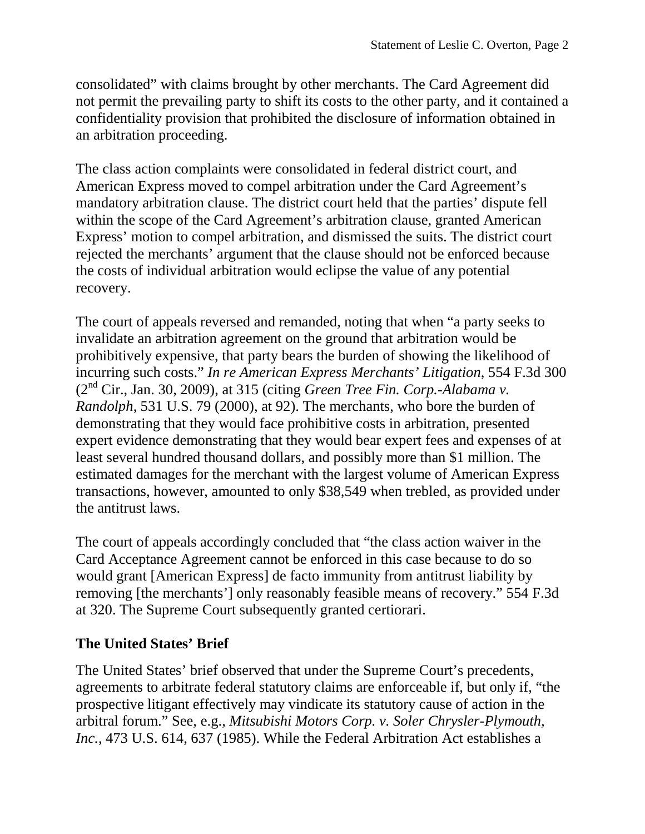consolidated" with claims brought by other merchants. The Card Agreement did not permit the prevailing party to shift its costs to the other party, and it contained a confidentiality provision that prohibited the disclosure of information obtained in an arbitration proceeding.

The class action complaints were consolidated in federal district court, and American Express moved to compel arbitration under the Card Agreement's mandatory arbitration clause. The district court held that the parties' dispute fell within the scope of the Card Agreement's arbitration clause, granted American Express' motion to compel arbitration, and dismissed the suits. The district court rejected the merchants' argument that the clause should not be enforced because the costs of individual arbitration would eclipse the value of any potential recovery.

The court of appeals reversed and remanded, noting that when "a party seeks to invalidate an arbitration agreement on the ground that arbitration would be prohibitively expensive, that party bears the burden of showing the likelihood of incurring such costs." *In re American Express Merchants' Litigation*, 554 F.3d 300 (2nd Cir., Jan. 30, 2009), at 315 (citing *Green Tree Fin. Corp.-Alabama v. Randolph*, 531 U.S. 79 (2000), at 92). The merchants, who bore the burden of demonstrating that they would face prohibitive costs in arbitration, presented expert evidence demonstrating that they would bear expert fees and expenses of at least several hundred thousand dollars, and possibly more than \$1 million. The estimated damages for the merchant with the largest volume of American Express transactions, however, amounted to only \$38,549 when trebled, as provided under the antitrust laws.

The court of appeals accordingly concluded that "the class action waiver in the Card Acceptance Agreement cannot be enforced in this case because to do so would grant [American Express] de facto immunity from antitrust liability by removing [the merchants'] only reasonably feasible means of recovery." 554 F.3d at 320. The Supreme Court subsequently granted certiorari.

## **The United States' Brief**

The United States' brief observed that under the Supreme Court's precedents, agreements to arbitrate federal statutory claims are enforceable if, but only if, "the prospective litigant effectively may vindicate its statutory cause of action in the arbitral forum." See, e.g., *Mitsubishi Motors Corp. v. Soler Chrysler-Plymouth, Inc.*, 473 U.S. 614, 637 (1985). While the Federal Arbitration Act establishes a